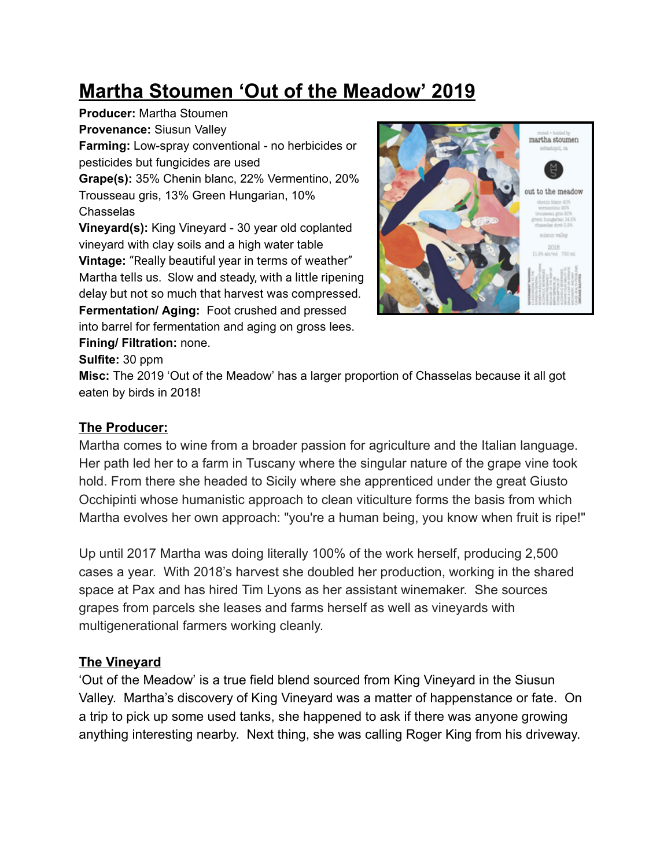# **Martha Stoumen 'Out of the Meadow' 2019**

**Producer:** Martha Stoumen **Provenance:** Siusun Valley **Farming:** Low-spray conventional - no herbicides or pesticides but fungicides are used **Grape(s):** 35% Chenin blanc, 22% Vermentino, 20% Trousseau gris, 13% Green Hungarian, 10% Chasselas **Vineyard(s):** King Vineyard - 30 year old coplanted vineyard with clay soils and a high water table **Vintage:** "Really beautiful year in terms of weather" Martha tells us. Slow and steady, with a little ripening delay but not so much that harvest was compressed. **Fermentation/ Aging:** Foot crushed and pressed into barrel for fermentation and aging on gross lees. **Fining/ Filtration:** none.



#### **Sulfite:** 30 ppm

**Misc:** The 2019 'Out of the Meadow' has a larger proportion of Chasselas because it all got eaten by birds in 2018!

### **The Producer:**

Martha comes to wine from a broader passion for agriculture and the Italian language. Her path led her to a farm in Tuscany where the singular nature of the grape vine took hold. From there she headed to Sicily where she apprenticed under the great Giusto Occhipinti whose humanistic approach to clean viticulture forms the basis from which Martha evolves her own approach: "you're a human being, you know when fruit is ripe!"

Up until 2017 Martha was doing literally 100% of the work herself, producing 2,500 cases a year. With 2018's harvest she doubled her production, working in the shared space at Pax and has hired Tim Lyons as her assistant winemaker. She sources grapes from parcels she leases and farms herself as well as vineyards with multigenerational farmers working cleanly.

## **The Vineyard**

'Out of the Meadow' is a true field blend sourced from King Vineyard in the Siusun Valley. Martha's discovery of King Vineyard was a matter of happenstance or fate. On a trip to pick up some used tanks, she happened to ask if there was anyone growing anything interesting nearby. Next thing, she was calling Roger King from his driveway.